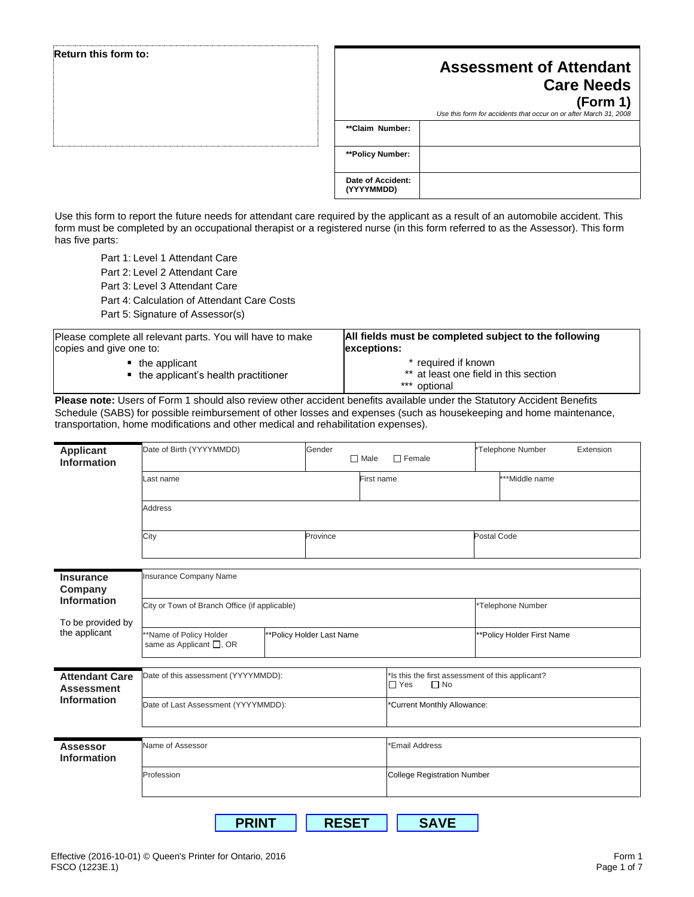| Return this form to: |                   | <b>Assessment of Attendant</b><br><b>Care Needs</b><br>(Form 1)<br>Use this form for accidents that occur on or after March 31, 2008 |
|----------------------|-------------------|--------------------------------------------------------------------------------------------------------------------------------------|
|                      | **Claim Number:   |                                                                                                                                      |
|                      | **Policy Number:  |                                                                                                                                      |
|                      | Date of Accident: |                                                                                                                                      |

Use this form to report the future needs for attendant care required by the applicant as a result of an automobile accident. This form must be completed by an occupational therapist or a registered nurse (in this form referred to as the Assessor). This form has five parts:

**(YYYYMMDD)**

Part 1: Level 1 Attendant Care

Part 2: Level 2 Attendant Care

Part 3: Level 3 Attendant Care

Part 4: Calculation of Attendant Care Costs

Part 5: Signature of Assessor(s)

| Please complete all relevant parts. You will have to make             | All fields must be completed subject to the following                        |
|-----------------------------------------------------------------------|------------------------------------------------------------------------------|
| copies and give one to:                                               | exceptions:                                                                  |
| $\blacksquare$ the applicant<br>• the applicant's health practitioner | * required if known<br>** at least one field in this section<br>*** optional |

**Please note:** Users of Form 1 should also review other accident benefits available under the Statutory Accident Benefits Schedule (SABS) for possible reimbursement of other losses and expenses (such as housekeeping and home maintenance, transportation, home modifications and other medical and rehabilitation expenses).

| <b>Applicant</b><br><b>Information</b>                   | Date of Birth (YYYYMMDD)                                   | Gender<br>$\Box$ Male     | $\Box$ Female                                                               | *Telephone Number<br>Extension |  |
|----------------------------------------------------------|------------------------------------------------------------|---------------------------|-----------------------------------------------------------------------------|--------------------------------|--|
|                                                          | Last name                                                  |                           | First name                                                                  | ***Middle name                 |  |
|                                                          | Address                                                    |                           |                                                                             |                                |  |
|                                                          | City                                                       | Province                  |                                                                             | Postal Code                    |  |
| <b>Insurance</b><br>Company                              | Insurance Company Name                                     |                           |                                                                             |                                |  |
| <b>Information</b><br>To be provided by<br>the applicant | City or Town of Branch Office (if applicable)              |                           |                                                                             | *Telephone Number              |  |
|                                                          | *Name of Policy Holder<br>same as Applicant $\square$ , OR | **Policy Holder Last Name |                                                                             | **Policy Holder First Name     |  |
| <b>Attendant Care</b><br><b>Assessment</b>               | Date of this assessment (YYYYMMDD):                        |                           | 'Is this the first assessment of this applicant?<br>$\Box$ Yes<br>$\Box$ No |                                |  |
| <b>Information</b>                                       | Date of Last Assessment (YYYYMMDD):                        |                           | *Current Monthly Allowance:                                                 |                                |  |
|                                                          |                                                            |                           |                                                                             |                                |  |
| <b>Assessor</b><br><b>Information</b>                    | Name of Assessor                                           |                           | <b>Email Address</b>                                                        |                                |  |
|                                                          | Profession                                                 |                           | <b>College Registration Number</b>                                          |                                |  |
|                                                          | <b>PRINT</b>                                               | <b>RESET</b>              | <b>SAVE</b>                                                                 |                                |  |

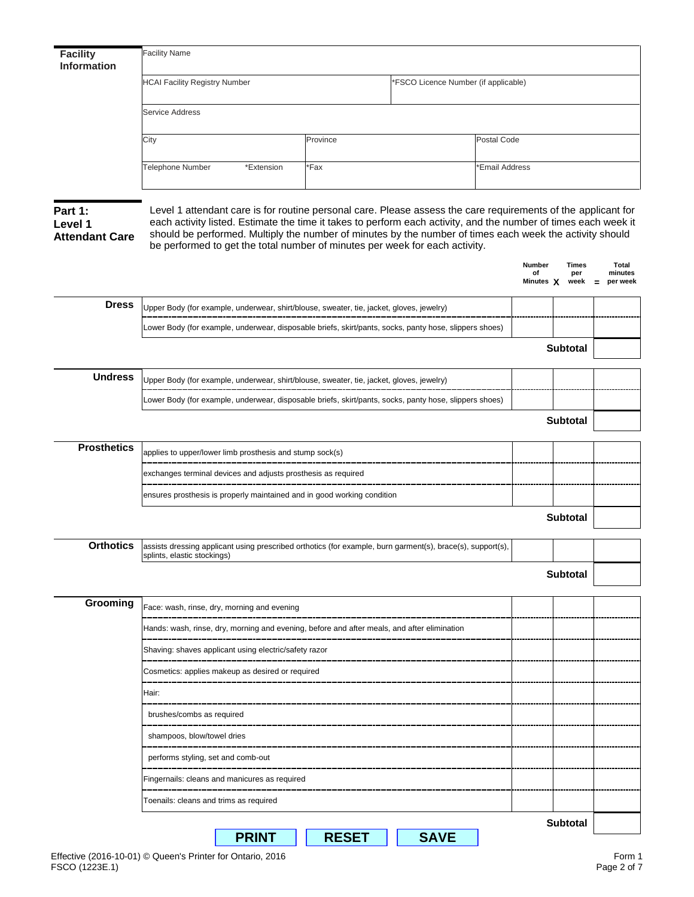| <b>HCAI Facility Registry Number</b><br>Service Address<br>City<br><b>Telephone Number</b><br>Level 1 attendant care is for routine personal care. Please assess the care requirements of the applicant for<br>each activity listed. Estimate the time it takes to perform each activity, and the number of times each week it<br>should be performed. Multiply the number of minutes by the number of times each week the activity should<br>be performed to get the total number of minutes per week for each activity. | *Extension                                                                                             | Province<br>*Fax | 'FSCO Licence Number (if applicable) | Postal Code<br><b>Email Address</b> |                             |                                            |  |  |
|---------------------------------------------------------------------------------------------------------------------------------------------------------------------------------------------------------------------------------------------------------------------------------------------------------------------------------------------------------------------------------------------------------------------------------------------------------------------------------------------------------------------------|--------------------------------------------------------------------------------------------------------|------------------|--------------------------------------|-------------------------------------|-----------------------------|--------------------------------------------|--|--|
| Part 1:<br>Level 1<br><b>Attendant Care</b>                                                                                                                                                                                                                                                                                                                                                                                                                                                                               |                                                                                                        |                  |                                      |                                     |                             |                                            |  |  |
|                                                                                                                                                                                                                                                                                                                                                                                                                                                                                                                           |                                                                                                        |                  |                                      |                                     |                             |                                            |  |  |
|                                                                                                                                                                                                                                                                                                                                                                                                                                                                                                                           |                                                                                                        |                  |                                      |                                     |                             |                                            |  |  |
|                                                                                                                                                                                                                                                                                                                                                                                                                                                                                                                           |                                                                                                        |                  |                                      |                                     |                             |                                            |  |  |
|                                                                                                                                                                                                                                                                                                                                                                                                                                                                                                                           |                                                                                                        |                  |                                      | <b>Number</b><br>of<br>Minutes X    | <b>Times</b><br>per<br>week | <b>Total</b><br>minutes<br>per week<br>$=$ |  |  |
| <b>Dress</b><br>Upper Body (for example, underwear, shirt/blouse, sweater, tie, jacket, gloves, jewelry)                                                                                                                                                                                                                                                                                                                                                                                                                  |                                                                                                        |                  |                                      |                                     |                             |                                            |  |  |
| Lower Body (for example, underwear, disposable briefs, skirt/pants, socks, panty hose, slippers shoes)                                                                                                                                                                                                                                                                                                                                                                                                                    |                                                                                                        |                  |                                      |                                     |                             |                                            |  |  |
|                                                                                                                                                                                                                                                                                                                                                                                                                                                                                                                           |                                                                                                        |                  |                                      |                                     | <b>Subtotal</b>             |                                            |  |  |
| <b>Undress</b><br>Upper Body (for example, underwear, shirt/blouse, sweater, tie, jacket, gloves, jewelry)                                                                                                                                                                                                                                                                                                                                                                                                                |                                                                                                        |                  |                                      |                                     |                             |                                            |  |  |
|                                                                                                                                                                                                                                                                                                                                                                                                                                                                                                                           | Lower Body (for example, underwear, disposable briefs, skirt/pants, socks, panty hose, slippers shoes) |                  |                                      |                                     |                             |                                            |  |  |
|                                                                                                                                                                                                                                                                                                                                                                                                                                                                                                                           |                                                                                                        |                  |                                      |                                     | <b>Subtotal</b>             |                                            |  |  |
| <b>Prosthetics</b><br>applies to upper/lower limb prosthesis and stump sock(s)                                                                                                                                                                                                                                                                                                                                                                                                                                            |                                                                                                        |                  |                                      |                                     |                             |                                            |  |  |
|                                                                                                                                                                                                                                                                                                                                                                                                                                                                                                                           | exchanges terminal devices and adjusts prosthesis as required                                          |                  |                                      |                                     |                             |                                            |  |  |
| ensures prosthesis is properly maintained and in good working condition                                                                                                                                                                                                                                                                                                                                                                                                                                                   |                                                                                                        |                  |                                      |                                     |                             |                                            |  |  |
|                                                                                                                                                                                                                                                                                                                                                                                                                                                                                                                           |                                                                                                        |                  |                                      |                                     | Subtotal                    |                                            |  |  |
| <b>Orthotics</b><br>assists dressing applicant using prescribed orthotics (for example, burn garment(s), brace(s), support(s),<br>splints, elastic stockings)                                                                                                                                                                                                                                                                                                                                                             |                                                                                                        |                  |                                      |                                     |                             |                                            |  |  |
|                                                                                                                                                                                                                                                                                                                                                                                                                                                                                                                           |                                                                                                        |                  |                                      |                                     | <b>Subtotal</b>             |                                            |  |  |
| Grooming<br>Face: wash, rinse, dry, morning and evening                                                                                                                                                                                                                                                                                                                                                                                                                                                                   |                                                                                                        |                  |                                      |                                     |                             |                                            |  |  |
|                                                                                                                                                                                                                                                                                                                                                                                                                                                                                                                           | Hands: wash, rinse, dry, morning and evening, before and after meals, and after elimination            |                  |                                      |                                     |                             |                                            |  |  |
|                                                                                                                                                                                                                                                                                                                                                                                                                                                                                                                           | Shaving: shaves applicant using electric/safety razor                                                  |                  |                                      |                                     |                             |                                            |  |  |
| Cosmetics: applies makeup as desired or required<br>--------------------------------                                                                                                                                                                                                                                                                                                                                                                                                                                      |                                                                                                        |                  |                                      |                                     |                             |                                            |  |  |
| Hair:                                                                                                                                                                                                                                                                                                                                                                                                                                                                                                                     |                                                                                                        |                  |                                      |                                     |                             |                                            |  |  |
| brushes/combs as required                                                                                                                                                                                                                                                                                                                                                                                                                                                                                                 |                                                                                                        |                  |                                      |                                     |                             |                                            |  |  |
| shampoos, blow/towel dries                                                                                                                                                                                                                                                                                                                                                                                                                                                                                                |                                                                                                        |                  |                                      |                                     |                             |                                            |  |  |
| performs styling, set and comb-out                                                                                                                                                                                                                                                                                                                                                                                                                                                                                        |                                                                                                        |                  |                                      |                                     |                             |                                            |  |  |
| Fingernails: cleans and manicures as required                                                                                                                                                                                                                                                                                                                                                                                                                                                                             |                                                                                                        |                  |                                      |                                     |                             |                                            |  |  |
| Toenails: cleans and trims as required                                                                                                                                                                                                                                                                                                                                                                                                                                                                                    |                                                                                                        |                  |                                      |                                     |                             |                                            |  |  |
|                                                                                                                                                                                                                                                                                                                                                                                                                                                                                                                           | <b>PRINT</b>                                                                                           | Subtotal         |                                      |                                     |                             |                                            |  |  |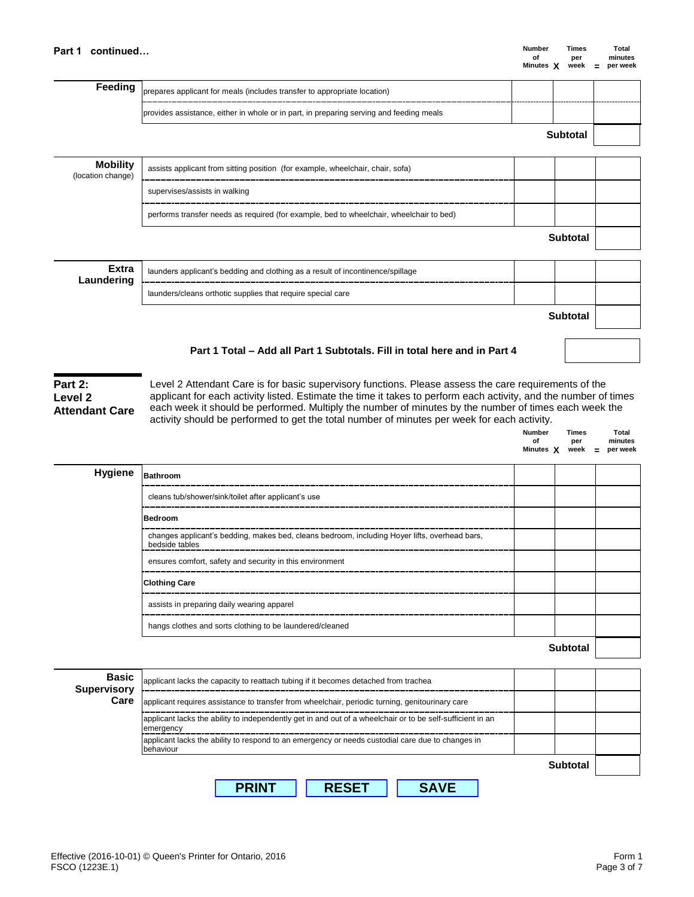**Part 1** continued… **CONSISTER 1** continued… **of per minutes**<br>**Minutes X** week = per week **Minutes X week = per week**

**Number Times Total**

**of per minutes**

| Feeding                              | prepares applicant for meals (includes transfer to appropriate location)                |                 |  |
|--------------------------------------|-----------------------------------------------------------------------------------------|-----------------|--|
|                                      | provides assistance, either in whole or in part, in preparing serving and feeding meals |                 |  |
|                                      |                                                                                         | <b>Subtotal</b> |  |
| <b>Mobility</b><br>(location change) | assists applicant from sitting position (for example, wheelchair, chair, sofa)          |                 |  |
|                                      | supervises/assists in walking                                                           |                 |  |
|                                      | performs transfer needs as required (for example, bed to wheelchair, wheelchair to bed) |                 |  |
|                                      |                                                                                         | <b>Subtotal</b> |  |
| <b>Extra</b><br>Laundering           | launders applicant's bedding and clothing as a result of incontinence/spillage          |                 |  |
|                                      | launders/cleans orthotic supplies that require special care                             |                 |  |
|                                      |                                                                                         | <b>Subtotal</b> |  |

## **Part 1 Total – Add all Part 1 Subtotals. Fill in total here and in Part 4**

## **Part 2: Level 2 Attendant Care**

Level 2 Attendant Care is for basic supervisory functions. Please assess the care requirements of the applicant for each activity listed. Estimate the time it takes to perform each activity, and the number of times each week it should be performed. Multiply the number of minutes by the number of times each week the activity should be performed to get the total number of minutes per week for each activity.

|         |                                                                                                                 |                 | Minutes $X$ week $=$ per week |
|---------|-----------------------------------------------------------------------------------------------------------------|-----------------|-------------------------------|
| Hygiene | Bathroom                                                                                                        |                 |                               |
|         | cleans tub/shower/sink/toilet after applicant's use                                                             |                 |                               |
|         | Bedroom                                                                                                         |                 |                               |
|         | changes applicant's bedding, makes bed, cleans bedroom, including Hoyer lifts, overhead bars,<br>bedside tables |                 |                               |
|         | ensures comfort, safety and security in this environment                                                        |                 |                               |
|         | <b>Clothing Care</b>                                                                                            |                 |                               |
|         | assists in preparing daily wearing apparel                                                                      |                 |                               |
|         | hangs clothes and sorts clothing to be laundered/cleaned                                                        |                 |                               |
|         |                                                                                                                 | <b>Subtotal</b> |                               |
|         |                                                                                                                 |                 |                               |

| <b>Supervisory</b><br>Care<br>applicant requires assistance to transfer from wheelchair, periodic turning, genitourinary care<br>applicant lacks the ability to independently get in and out of a wheelchair or to be self-sufficient in an |                 |
|---------------------------------------------------------------------------------------------------------------------------------------------------------------------------------------------------------------------------------------------|-----------------|
|                                                                                                                                                                                                                                             |                 |
| emergency                                                                                                                                                                                                                                   |                 |
| applicant lacks the ability to respond to an emergency or needs custodial care due to changes in<br>lbehaviour                                                                                                                              |                 |
|                                                                                                                                                                                                                                             | <b>Subtotal</b> |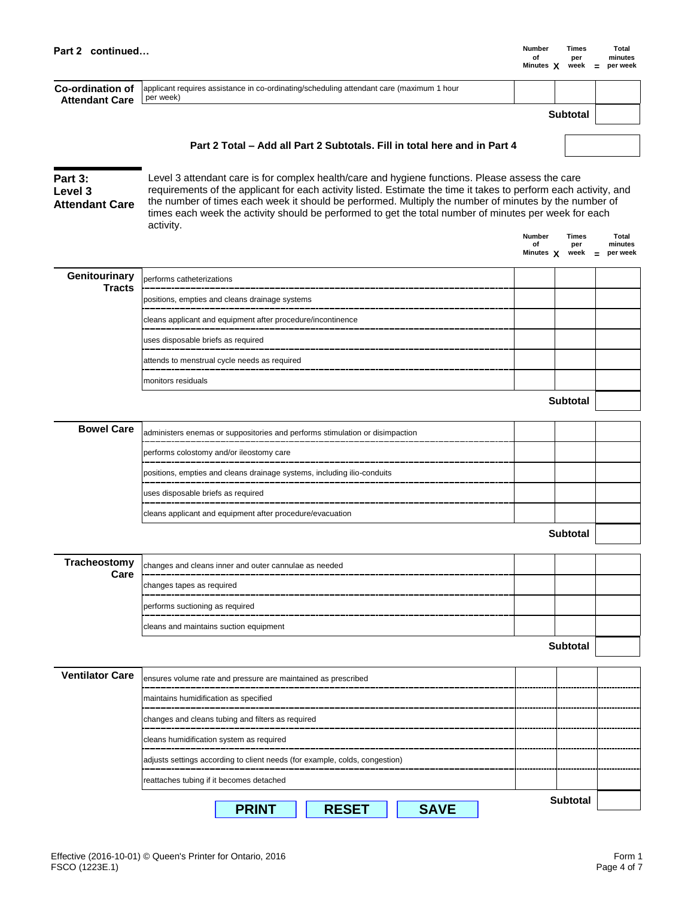| Part 2 continued                            |                                                                                                                                                                                                                                                                                                                                                                                                                                                    | Number<br>of<br>Minutes X        | Times<br>per<br>week        | Total<br>minutes<br>per week        |
|---------------------------------------------|----------------------------------------------------------------------------------------------------------------------------------------------------------------------------------------------------------------------------------------------------------------------------------------------------------------------------------------------------------------------------------------------------------------------------------------------------|----------------------------------|-----------------------------|-------------------------------------|
| Co-ordination of<br><b>Attendant Care</b>   | applicant requires assistance in co-ordinating/scheduling attendant care (maximum 1 hour<br>per week)                                                                                                                                                                                                                                                                                                                                              |                                  |                             |                                     |
|                                             |                                                                                                                                                                                                                                                                                                                                                                                                                                                    |                                  | <b>Subtotal</b>             |                                     |
|                                             | Part 2 Total – Add all Part 2 Subtotals. Fill in total here and in Part 4                                                                                                                                                                                                                                                                                                                                                                          |                                  |                             |                                     |
|                                             |                                                                                                                                                                                                                                                                                                                                                                                                                                                    |                                  |                             |                                     |
| Part 3:<br>Level 3<br><b>Attendant Care</b> | Level 3 attendant care is for complex health/care and hygiene functions. Please assess the care<br>requirements of the applicant for each activity listed. Estimate the time it takes to perform each activity, and<br>the number of times each week it should be performed. Multiply the number of minutes by the number of<br>times each week the activity should be performed to get the total number of minutes per week for each<br>activity. |                                  |                             |                                     |
|                                             |                                                                                                                                                                                                                                                                                                                                                                                                                                                    | <b>Number</b><br>of<br>Minutes X | <b>Times</b><br>per<br>week | Total<br>minutes<br>per week<br>$=$ |
| Genitourinary<br><b>Tracts</b>              | performs catheterizations                                                                                                                                                                                                                                                                                                                                                                                                                          |                                  |                             |                                     |
|                                             | positions, empties and cleans drainage systems                                                                                                                                                                                                                                                                                                                                                                                                     |                                  |                             |                                     |
|                                             | cleans applicant and equipment after procedure/incontinence                                                                                                                                                                                                                                                                                                                                                                                        |                                  |                             |                                     |
|                                             | uses disposable briefs as required                                                                                                                                                                                                                                                                                                                                                                                                                 |                                  |                             |                                     |
|                                             | attends to menstrual cycle needs as required                                                                                                                                                                                                                                                                                                                                                                                                       |                                  |                             |                                     |
|                                             | monitors residuals                                                                                                                                                                                                                                                                                                                                                                                                                                 |                                  |                             |                                     |
|                                             |                                                                                                                                                                                                                                                                                                                                                                                                                                                    |                                  | <b>Subtotal</b>             |                                     |
| <b>Bowel Care</b>                           | administers enemas or suppositories and performs stimulation or disimpaction                                                                                                                                                                                                                                                                                                                                                                       |                                  |                             |                                     |
|                                             | performs colostomy and/or ileostomy care                                                                                                                                                                                                                                                                                                                                                                                                           |                                  |                             |                                     |
|                                             | positions, empties and cleans drainage systems, including ilio-conduits                                                                                                                                                                                                                                                                                                                                                                            |                                  |                             |                                     |
|                                             | uses disposable briefs as required                                                                                                                                                                                                                                                                                                                                                                                                                 |                                  |                             |                                     |
|                                             | cleans applicant and equipment after procedure/evacuation                                                                                                                                                                                                                                                                                                                                                                                          |                                  |                             |                                     |
|                                             |                                                                                                                                                                                                                                                                                                                                                                                                                                                    |                                  | <b>Subtotal</b>             |                                     |
| Tracheostomy                                |                                                                                                                                                                                                                                                                                                                                                                                                                                                    |                                  |                             |                                     |
| Care                                        | changes and cleans inner and outer cannulae as needed                                                                                                                                                                                                                                                                                                                                                                                              |                                  |                             |                                     |
|                                             | changes tapes as required                                                                                                                                                                                                                                                                                                                                                                                                                          |                                  |                             |                                     |
|                                             | performs suctioning as required                                                                                                                                                                                                                                                                                                                                                                                                                    |                                  |                             |                                     |
|                                             | cleans and maintains suction equipment                                                                                                                                                                                                                                                                                                                                                                                                             |                                  | <b>Subtotal</b>             |                                     |
|                                             |                                                                                                                                                                                                                                                                                                                                                                                                                                                    |                                  |                             |                                     |
| <b>Ventilator Care</b>                      | ensures volume rate and pressure are maintained as prescribed                                                                                                                                                                                                                                                                                                                                                                                      |                                  |                             |                                     |
|                                             | maintains humidification as specified                                                                                                                                                                                                                                                                                                                                                                                                              |                                  |                             |                                     |
|                                             | changes and cleans tubing and filters as required                                                                                                                                                                                                                                                                                                                                                                                                  |                                  |                             |                                     |
|                                             | cleans humidification system as required                                                                                                                                                                                                                                                                                                                                                                                                           |                                  |                             |                                     |
|                                             | adjusts settings according to client needs (for example, colds, congestion)                                                                                                                                                                                                                                                                                                                                                                        |                                  |                             |                                     |
|                                             | reattaches tubing if it becomes detached                                                                                                                                                                                                                                                                                                                                                                                                           |                                  |                             |                                     |
|                                             | <b>RESET</b><br><b>SAVE</b><br><b>PRINT</b>                                                                                                                                                                                                                                                                                                                                                                                                        |                                  | <b>Subtotal</b>             |                                     |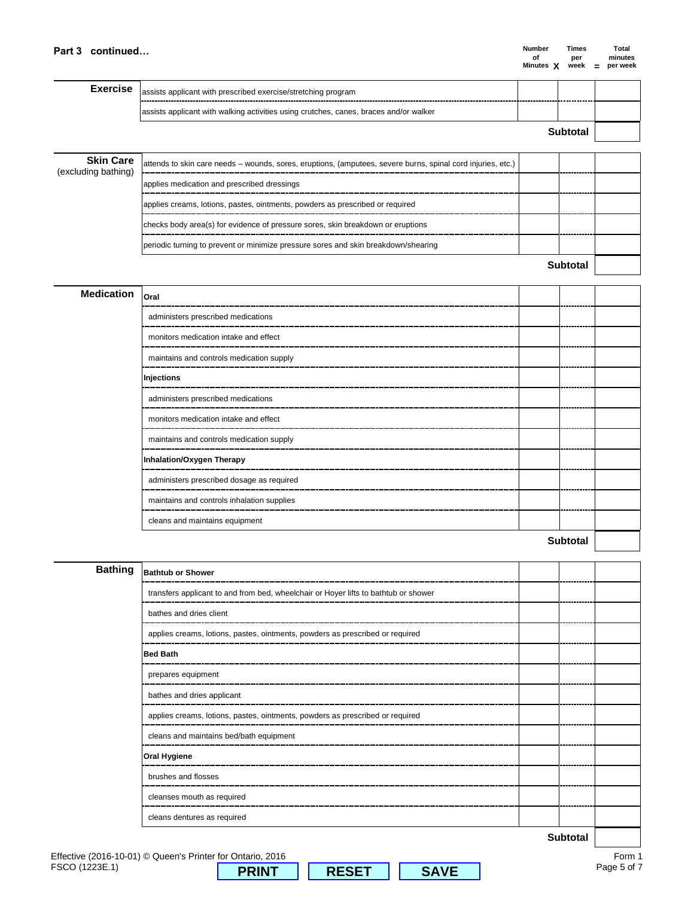| <b>Number</b>  |   | Times |     | Total    |
|----------------|---|-------|-----|----------|
| Ωf             |   | per   |     | minutes  |
| <b>Minutes</b> | X | week  | $=$ | per week |

| <b>Exercise</b>                         | assists applicant with prescribed exercise/stretching program                                               |  |         |  |  |
|-----------------------------------------|-------------------------------------------------------------------------------------------------------------|--|---------|--|--|
|                                         | assists applicant with walking activities using crutches, canes, braces and/or walker                       |  |         |  |  |
|                                         | Subtotal                                                                                                    |  |         |  |  |
| <b>Skin Care</b><br>(excluding bathing) | attends to skin care needs – wounds, sores, eruptions, (amputees, severe burns, spinal cord injuries, etc.) |  |         |  |  |
|                                         | applies medication and prescribed dressings                                                                 |  |         |  |  |
|                                         | applies creams, lotions, pastes, ointments, powders as prescribed or required                               |  |         |  |  |
|                                         | checks body area(s) for evidence of pressure sores, skin breakdown or eruptions                             |  |         |  |  |
|                                         | periodic turning to prevent or minimize pressure sores and skin breakdown/shearing                          |  |         |  |  |
|                                         |                                                                                                             |  | Subtota |  |  |

| <b>Medication</b> | Oral                                       |                 |  |
|-------------------|--------------------------------------------|-----------------|--|
|                   | administers prescribed medications         |                 |  |
|                   | monitors medication intake and effect      |                 |  |
|                   | maintains and controls medication supply   |                 |  |
|                   | Injections                                 |                 |  |
|                   | administers prescribed medications         |                 |  |
|                   | monitors medication intake and effect      |                 |  |
|                   | maintains and controls medication supply   |                 |  |
|                   | Inhalation/Oxygen Therapy                  |                 |  |
|                   | administers prescribed dosage as required  |                 |  |
|                   | maintains and controls inhalation supplies |                 |  |
|                   | cleans and maintains equipment             |                 |  |
|                   |                                            | <b>Subtotal</b> |  |

| <b>Bathing</b> | <b>Bathtub or Shower</b>                                                            |                 |  |
|----------------|-------------------------------------------------------------------------------------|-----------------|--|
|                | transfers applicant to and from bed, wheelchair or Hoyer lifts to bathtub or shower |                 |  |
|                | bathes and dries client                                                             |                 |  |
|                | applies creams, lotions, pastes, ointments, powders as prescribed or required       |                 |  |
|                | <b>Bed Bath</b>                                                                     |                 |  |
|                | prepares equipment                                                                  |                 |  |
|                | bathes and dries applicant<br>---------                                             |                 |  |
|                | applies creams, lotions, pastes, ointments, powders as prescribed or required       |                 |  |
|                | cleans and maintains bed/bath equipment                                             |                 |  |
|                | <b>Oral Hygiene</b>                                                                 |                 |  |
|                | brushes and flosses                                                                 |                 |  |
|                | cleanses mouth as required                                                          |                 |  |
|                | cleans dentures as required                                                         |                 |  |
|                |                                                                                     | <b>Subtotal</b> |  |

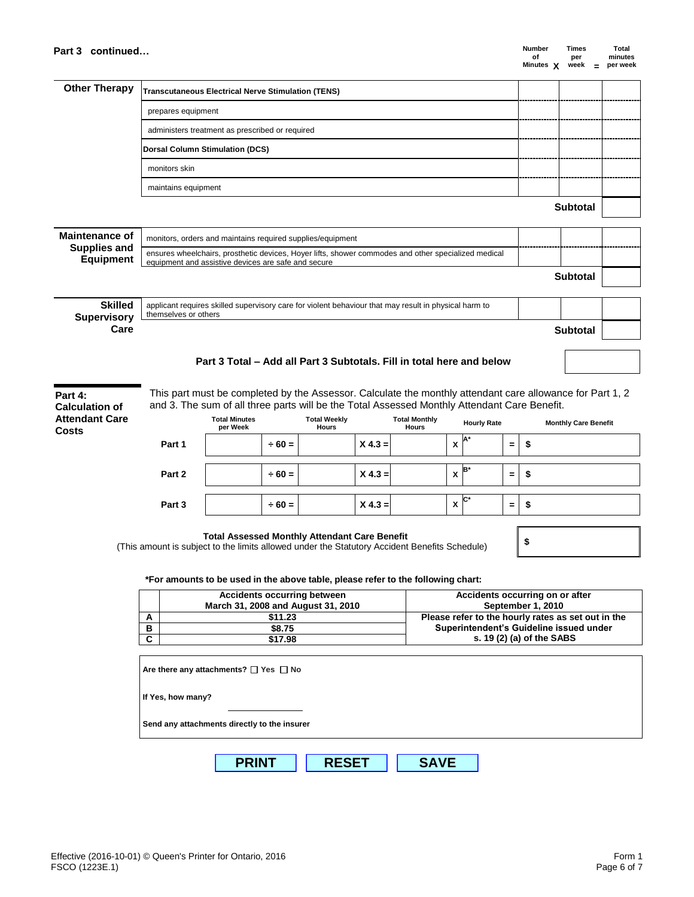**Part 4: Calculation of Attendant Care** 

**Costs**

| <b>Other Therapy</b>                            | <b>Transcutaneous Electrical Nerve Stimulation (TENS)</b> |  |                 |  |
|-------------------------------------------------|-----------------------------------------------------------|--|-----------------|--|
|                                                 | prepares equipment                                        |  |                 |  |
| administers treatment as prescribed or required |                                                           |  |                 |  |
| Dorsal Column Stimulation (DCS)                 |                                                           |  |                 |  |
|                                                 | monitors skin                                             |  |                 |  |
|                                                 | maintains equipment                                       |  |                 |  |
|                                                 |                                                           |  | <b>Subtotal</b> |  |

| <b>Maintenance of</b>            | monitors, orders and maintains required supplies/equipment                                                                                                 |                 |  |
|----------------------------------|------------------------------------------------------------------------------------------------------------------------------------------------------------|-----------------|--|
| <b>Supplies and</b><br>Equipment | ensures wheelchairs, prosthetic devices, Hoyer lifts, shower commodes and other specialized medical<br>equipment and assistive devices are safe and secure |                 |  |
|                                  |                                                                                                                                                            | <b>Subtotal</b> |  |
|                                  |                                                                                                                                                            |                 |  |

| <b>Skilled</b><br><b>Supervisory</b> | applicant requires skilled supervisory care for violent behaviour that may result in physical harm to<br>themselves or others |          |  |
|--------------------------------------|-------------------------------------------------------------------------------------------------------------------------------|----------|--|
| Care                                 |                                                                                                                               | Subtotal |  |

## **Part 3 Total – Add all Part 3 Subtotals. Fill in total here and below**

This part must be completed by the Assessor. Calculate the monthly attendant care allowance for Part 1, 2 and 3. The sum of all three parts will be the Total Assessed Monthly Attendant Care Benefit.

|        | <b>Total Minutes</b><br>per Week |             | <b>Total Weekly</b><br><b>Hours</b> |           | <b>Total Monthly</b><br><b>Hours</b> |   | <b>Hourly Rate</b> |     | <b>Monthly Care Benefit</b> |
|--------|----------------------------------|-------------|-------------------------------------|-----------|--------------------------------------|---|--------------------|-----|-----------------------------|
| Part 1 |                                  | $\div 60 =$ |                                     | $X 4.3 =$ |                                      | х | ΙA                 | $=$ | S,                          |
|        |                                  |             |                                     |           |                                      |   | B*                 |     |                             |
| Part 2 |                                  | $\div 60 =$ |                                     | $X 4.3 =$ |                                      | X |                    | $=$ | -\$                         |
|        |                                  |             |                                     |           |                                      |   |                    |     |                             |
| Part 3 |                                  | $\div 60 =$ |                                     | $X 4.3 =$ |                                      | X | $\mathbf{C}^*$     | $=$ | -\$                         |
|        |                                  |             |                                     |           |                                      |   |                    |     |                             |
|        |                                  |             |                                     |           |                                      |   |                    |     |                             |

**Total Assessed Monthly Attendant Care Benefit** (This amount is subject to the limits allowed under the Statutory Accident Benefits Schedule) **\$** 

**\*For amounts to be used in the above table, please refer to the following chart:**

|   | <b>Accidents occurring between</b><br>March 31, 2008 and August 31, 2010 | Accidents occurring on or after<br>September 1, 2010 |
|---|--------------------------------------------------------------------------|------------------------------------------------------|
| A | \$11.23                                                                  | Please refer to the hourly rates as set out in the   |
| в | \$8.75                                                                   | Superintendent's Guideline issued under              |
| ◠ | \$17.98                                                                  | s. 19 (2) (a) of the SABS                            |

| Are there any attachments? $\Box$ Yes $\Box$ No |             |
|-------------------------------------------------|-------------|
| If Yes, how many?                               |             |
| Send any attachments directly to the insurer    |             |
| <b>RESET</b><br><b>PRINT</b>                    | <b>SAVE</b> |